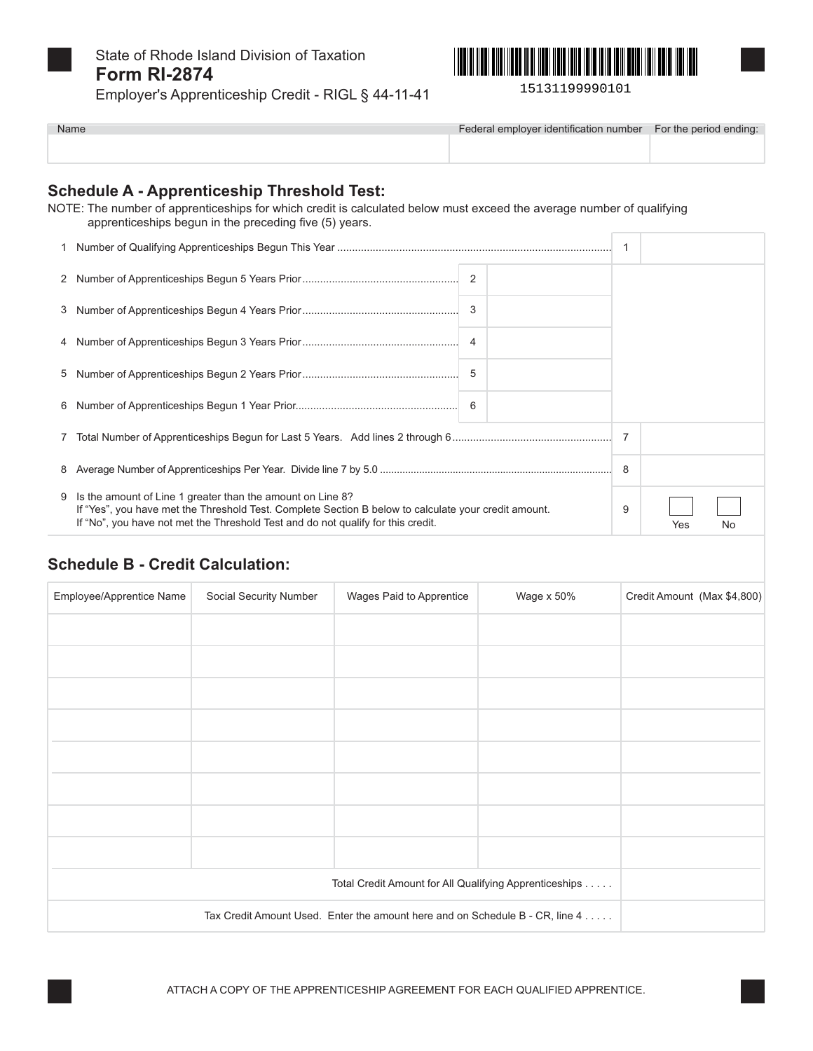

State of Rhode Island Division of Taxation **Form RI-2874** 



Employer's Apprenticeship Credit - RIGL § 44-11-41

| Name | Federal employer identification number For the period ending: |  |
|------|---------------------------------------------------------------|--|
|      |                                                               |  |
|      |                                                               |  |
|      |                                                               |  |

# **Schedule A - Apprenticeship Threshold Test:**

NOTE: The number of apprenticeships for which credit is calculated below must exceed the average number of qualifying apprenticeships begun in the preceding five (5) years.

|                                                                                                                                                                                                                                                          |  | 3  |   |           |  |
|----------------------------------------------------------------------------------------------------------------------------------------------------------------------------------------------------------------------------------------------------------|--|----|---|-----------|--|
|                                                                                                                                                                                                                                                          |  |    |   |           |  |
|                                                                                                                                                                                                                                                          |  | -5 |   |           |  |
|                                                                                                                                                                                                                                                          |  |    |   |           |  |
|                                                                                                                                                                                                                                                          |  |    | 7 |           |  |
|                                                                                                                                                                                                                                                          |  |    |   | 8         |  |
| 9 Is the amount of Line 1 greater than the amount on Line 8?<br>If "Yes", you have met the Threshold Test. Complete Section B below to calculate your credit amount.<br>If "No", you have not met the Threshold Test and do not qualify for this credit. |  |    | 9 | Yes<br>No |  |

## **Schedule B - Credit Calculation:**

| Employee/Apprentice Name | Social Security Number | Wages Paid to Apprentice | Wage x 50% | Credit Amount (Max \$4,800) |
|--------------------------|------------------------|--------------------------|------------|-----------------------------|
|                          |                        |                          |            |                             |
|                          |                        |                          |            |                             |
|                          |                        |                          |            |                             |
|                          |                        |                          |            |                             |
|                          |                        |                          |            |                             |
|                          |                        |                          |            |                             |
|                          |                        |                          |            |                             |
|                          |                        |                          |            |                             |
|                          |                        |                          |            |                             |
|                          |                        |                          |            |                             |